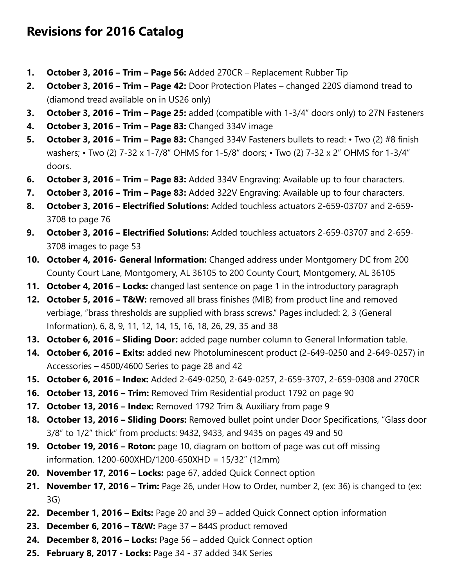## **Revisions for 2016 Catalog**

- **1. October 3, 2016 Trim Page 56:** Added 270CR Replacement Rubber Tip
- **2. October 3, 2016 Trim Page 42:** Door Protection Plates changed 220S diamond tread to (diamond tread available on in US26 only)
- **3. October 3, 2016 Trim Page 25:** added (compatible with 1-3/4" doors only) to 27N Fasteners
- **4. October 3, 2016 Trim Page 83:** Changed 334V image
- **5. October 3, 2016 Trim Page 83:** Changed 334V Fasteners bullets to read: Two (2) #8 finish washers; • Two (2) 7-32 x 1-7/8" OHMS for 1-5/8" doors; • Two (2) 7-32 x 2" OHMS for 1-3/4" doors.
- **6. October 3, 2016 Trim Page 83:** Added 334V Engraving: Available up to four characters.
- **7. October 3, 2016 Trim Page 83:** Added 322V Engraving: Available up to four characters.
- **8. October 3, 2016 Electrified Solutions:** Added touchless actuators 2-659-03707 and 2-659- 3708 to page 76
- **9. October 3, 2016 Electrified Solutions:** Added touchless actuators 2-659-03707 and 2-659- 3708 images to page 53
- **10. October 4, 2016- General Information:** Changed address under Montgomery DC from 200 County Court Lane, Montgomery, AL 36105 to 200 County Court, Montgomery, AL 36105
- **11. October 4, 2016 Locks:** changed last sentence on page 1 in the introductory paragraph
- **12. October 5, 2016 T&W:** removed all brass finishes (MIB) from product line and removed verbiage, "brass thresholds are supplied with brass screws." Pages included: 2, 3 (General Information), 6, 8, 9, 11, 12, 14, 15, 16, 18, 26, 29, 35 and 38
- **13. October 6, 2016 Sliding Door:** added page number column to General Information table.
- **14. October 6, 2016 Exits:** added new Photoluminescent product (2-649-0250 and 2-649-0257) in Accessories – 4500/4600 Series to page 28 and 42
- **15. October 6, 2016 Index:** Added 2-649-0250, 2-649-0257, 2-659-3707, 2-659-0308 and 270CR
- **16. October 13, 2016 Trim:** Removed Trim Residential product 1792 on page 90
- **17. October 13, 2016 Index:** Removed 1792 Trim & Auxiliary from page 9
- **18. October 13, 2016 Sliding Doors:** Removed bullet point under Door Specifications, "Glass door 3/8" to 1/2" thick" from products: 9432, 9433, and 9435 on pages 49 and 50
- **19. October 19, 2016 Roton:** page 10, diagram on bottom of page was cut off missing information. 1200-600XHD/1200-650XHD = 15/32" (12mm)
- **20. November 17, 2016 Locks:** page 67, added Quick Connect option
- **21. November 17, 2016 Trim:** Page 26, under How to Order, number 2, (ex: 36) is changed to (ex: 3G)
- **22. December 1, 2016 Exits:** Page 20 and 39 added Quick Connect option information
- **23. December 6, 2016 T&W:** Page 37 844S product removed
- **24. December 8, 2016 Locks:** Page 56 added Quick Connect option
- **25. February 8, 2017 Locks:** Page 34 37 added 34K Series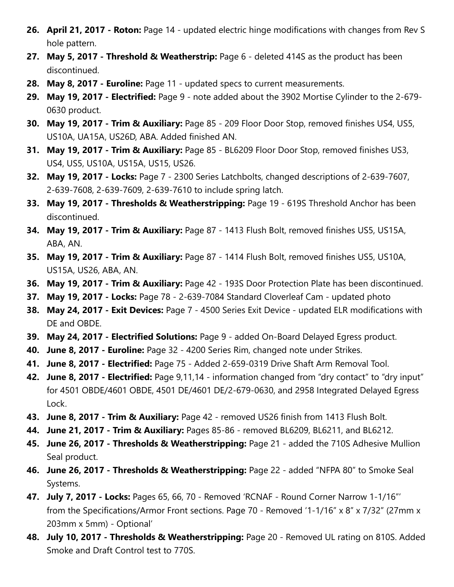- **26. April 21, 2017 Roton:** Page 14 updated electric hinge modifications with changes from Rev S hole pattern.
- **27. May 5, 2017 Threshold & Weatherstrip:** Page 6 deleted 414S as the product has been discontinued.
- **28. May 8, 2017 Euroline:** Page 11 updated specs to current measurements.
- **29. May 19, 2017 Electrified:** Page 9 note added about the 3902 Mortise Cylinder to the 2-679- 0630 product.
- **30. May 19, 2017 Trim & Auxiliary:** Page 85 209 Floor Door Stop, removed finishes US4, US5, US10A, UA15A, US26D, ABA. Added finished AN.
- **31. May 19, 2017 Trim & Auxiliary:** Page 85 BL6209 Floor Door Stop, removed finishes US3, US4, US5, US10A, US15A, US15, US26.
- **32. May 19, 2017 Locks:** Page 7 2300 Series Latchbolts, changed descriptions of 2-639-7607, 2-639-7608, 2-639-7609, 2-639-7610 to include spring latch.
- **33. May 19, 2017 Thresholds & Weatherstripping:** Page 19 619S Threshold Anchor has been discontinued.
- **34. May 19, 2017 Trim & Auxiliary:** Page 87 1413 Flush Bolt, removed finishes US5, US15A, ABA, AN.
- **35. May 19, 2017 Trim & Auxiliary:** Page 87 1414 Flush Bolt, removed finishes US5, US10A, US15A, US26, ABA, AN.
- **36. May 19, 2017 Trim & Auxiliary:** Page 42 193S Door Protection Plate has been discontinued.
- **37. May 19, 2017 Locks:** Page 78 2-639-7084 Standard Cloverleaf Cam updated photo
- **38. May 24, 2017 Exit Devices:** Page 7 4500 Series Exit Device updated ELR modifications with DE and OBDE.
- **39. May 24, 2017 Electrified Solutions:** Page 9 added On-Board Delayed Egress product.
- **40. June 8, 2017 Euroline:** Page 32 4200 Series Rim, changed note under Strikes.
- **41. June 8, 2017 Electrified:** Page 75 Added 2-659-0319 Drive Shaft Arm Removal Tool.
- **42. June 8, 2017 Electrified:** Page 9,11,14 information changed from "dry contact" to "dry input" for 4501 OBDE/4601 OBDE, 4501 DE/4601 DE/2-679-0630, and 2958 Integrated Delayed Egress Lock.
- **43. June 8, 2017 Trim & Auxiliary:** Page 42 removed US26 finish from 1413 Flush Bolt.
- **44. June 21, 2017 Trim & Auxiliary:** Pages 85-86 removed BL6209, BL6211, and BL6212.
- **45. June 26, 2017 Thresholds & Weatherstripping:** Page 21 added the 710S Adhesive Mullion Seal product.
- **46. June 26, 2017 Thresholds & Weatherstripping:** Page 22 added "NFPA 80" to Smoke Seal Systems.
- **47. July 7, 2017 Locks:** Pages 65, 66, 70 Removed 'RCNAF Round Corner Narrow 1-1/16"' from the Specifications/Armor Front sections. Page 70 - Removed '1-1/16" x 8" x 7/32" (27mm x 203mm x 5mm) - Optional'
- **48. July 10, 2017 Thresholds & Weatherstripping:** Page 20 Removed UL rating on 810S. Added Smoke and Draft Control test to 770S.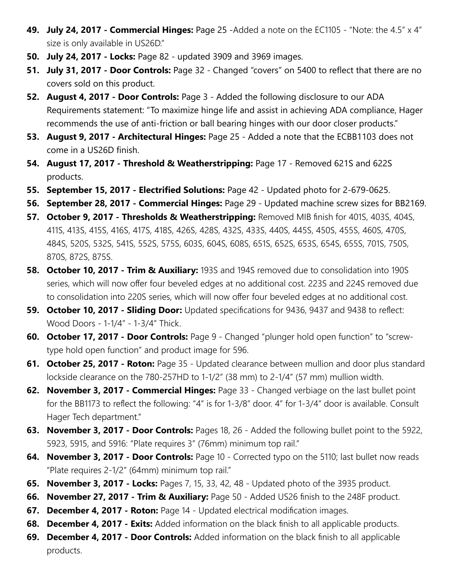- **49. July 24, 2017 Commercial Hinges:** Page 25 -Added a note on the EC1105 "Note: the 4.5" x 4" size is only available in US26D."
- **50. July 24, 2017 Locks:** Page 82 updated 3909 and 3969 images.
- **51. July 31, 2017 Door Controls:** Page 32 Changed "covers" on 5400 to reflect that there are no covers sold on this product.
- **52. August 4, 2017 Door Controls:** Page 3 Added the following disclosure to our ADA Requirements statement: "To maximize hinge life and assist in achieving ADA compliance, Hager recommends the use of anti-friction or ball bearing hinges with our door closer products."
- **53. August 9, 2017 Architectural Hinges:** Page 25 Added a note that the ECBB1103 does not come in a US26D finish.
- **54. August 17, 2017 Threshold & Weatherstripping:** Page 17 Removed 621S and 622S products.
- **55. September 15, 2017 Electrified Solutions:** Page 42 Updated photo for 2-679-0625.
- **56. September 28, 2017 Commercial Hinges:** Page 29 Updated machine screw sizes for BB2169.
- **57. October 9, 2017 Thresholds & Weatherstripping:** Removed MIB finish for 401S, 403S, 404S, 411S, 413S, 415S, 416S, 417S, 418S, 426S, 428S, 432S, 433S, 440S, 445S, 450S, 455S, 460S, 470S, 484S, 520S, 532S, 541S, 552S, 575S, 603S, 604S, 608S, 651S, 652S, 653S, 654S, 655S, 701S, 750S, 870S, 872S, 875S.
- **58. October 10, 2017 Trim & Auxiliary:** 193S and 194S removed due to consolidation into 190S series, which will now offer four beveled edges at no additional cost. 223S and 224S removed due to consolidation into 220S series, which will now offer four beveled edges at no additional cost.
- **59. October 10, 2017 Sliding Door:** Updated specifications for 9436, 9437 and 9438 to reflect: Wood Doors - 1-1/4" - 1-3/4" Thick.
- **60. October 17, 2017 Door Controls:** Page 9 Changed "plunger hold open function" to "screwtype hold open function" and product image for 596.
- **61. October 25, 2017 Roton:** Page 35 Updated clearance between mullion and door plus standard lockside clearance on the 780-257HD to 1-1/2" (38 mm) to 2-1/4" (57 mm) mullion width.
- **62. November 3, 2017 Commercial Hinges:** Page 33 Changed verbiage on the last bullet point for the BB1173 to reflect the following: "4" is for 1-3/8" door. 4" for 1-3/4" door is available. Consult Hager Tech department."
- **63. November 3, 2017 Door Controls:** Pages 18, 26 Added the following bullet point to the 5922, 5923, 5915, and 5916: "Plate requires 3" (76mm) minimum top rail."
- **64. November 3, 2017 Door Controls:** Page 10 Corrected typo on the 5110; last bullet now reads "Plate requires 2-1/2" (64mm) minimum top rail."
- **65. November 3, 2017 Locks:** Pages 7, 15, 33, 42, 48 Updated photo of the 3935 product.
- **66. November 27, 2017 Trim & Auxiliary:** Page 50 Added US26 finish to the 248F product.
- **67. December 4, 2017 Roton:** Page 14 Updated electrical modification images.
- **68. December 4, 2017 Exits:** Added information on the black finish to all applicable products.
- **69. December 4, 2017 Door Controls:** Added information on the black finish to all applicable products.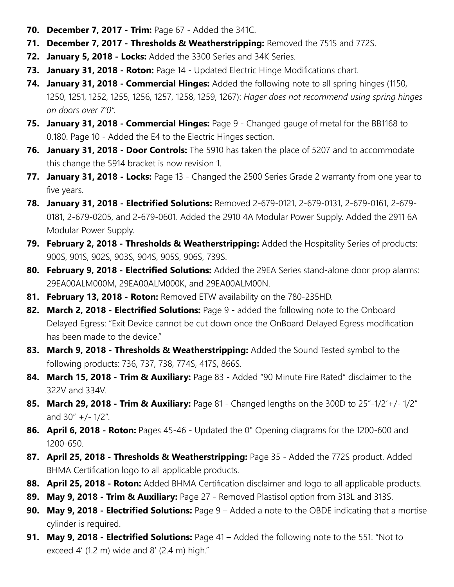- **70. December 7, 2017 Trim:** Page 67 Added the 341C.
- **71. December 7, 2017 Thresholds & Weatherstripping:** Removed the 751S and 772S.
- **72. January 5, 2018 Locks:** Added the 3300 Series and 34K Series.
- **73. January 31, 2018 Roton:** Page 14 Updated Electric Hinge Modifications chart.
- **74. January 31, 2018 Commercial Hinges:** Added the following note to all spring hinges (1150, 1250, 1251, 1252, 1255, 1256, 1257, 1258, 1259, 1267): *Hager does not recommend using spring hinges on doors over 7'0".*
- **75. January 31, 2018 Commercial Hinges:** Page 9 Changed gauge of metal for the BB1168 to 0.180. Page 10 - Added the E4 to the Electric Hinges section.
- **76. January 31, 2018 Door Controls:** The 5910 has taken the place of 5207 and to accommodate this change the 5914 bracket is now revision 1.
- **77. January 31, 2018 Locks:** Page 13 Changed the 2500 Series Grade 2 warranty from one year to five years.
- **78. January 31, 2018 Electrified Solutions:** Removed 2-679-0121, 2-679-0131, 2-679-0161, 2-679- 0181, 2-679-0205, and 2-679-0601. Added the 2910 4A Modular Power Supply. Added the 2911 6A Modular Power Supply.
- **79. February 2, 2018 Thresholds & Weatherstripping:** Added the Hospitality Series of products: 900S, 901S, 902S, 903S, 904S, 905S, 906S, 739S.
- **80. February 9, 2018 Electrified Solutions:** Added the 29EA Series stand-alone door prop alarms: 29EA00ALM000M, 29EA00ALM000K, and 29EA00ALM00N.
- **81. February 13, 2018 Roton:** Removed ETW availability on the 780-235HD.
- **82. March 2, 2018 Electrified Solutions:** Page 9 added the following note to the Onboard Delayed Egress: "Exit Device cannot be cut down once the OnBoard Delayed Egress modification has been made to the device."
- **83. March 9, 2018 Thresholds & Weatherstripping:** Added the Sound Tested symbol to the following products: 736, 737, 738, 774S, 417S, 866S.
- **84. March 15, 2018 Trim & Auxiliary:** Page 83 Added "90 Minute Fire Rated" disclaimer to the 322V and 334V.
- **85. March 29, 2018 Trim & Auxiliary:** Page 81 Changed lengths on the 300D to 25"-1/2'+/- 1/2" and  $30''$  +/-  $1/2''$ .
- **86. April 6, 2018 Roton:** Pages 45-46 Updated the 0° Opening diagrams for the 1200-600 and 1200-650.
- **87. April 25, 2018 Thresholds & Weatherstripping:** Page 35 Added the 772S product. Added BHMA Certification logo to all applicable products.
- **88. April 25, 2018 Roton:** Added BHMA Certification disclaimer and logo to all applicable products.
- **89. May 9, 2018 Trim & Auxiliary:** Page 27 Removed Plastisol option from 313L and 313S.
- **90. May 9, 2018 Electrified Solutions:** Page 9 Added a note to the OBDE indicating that a mortise cylinder is required.
- **91. May 9, 2018 Electrified Solutions:** Page 41 Added the following note to the 551: "Not to exceed  $4'$  (1.2 m) wide and  $8'$  (2.4 m) high."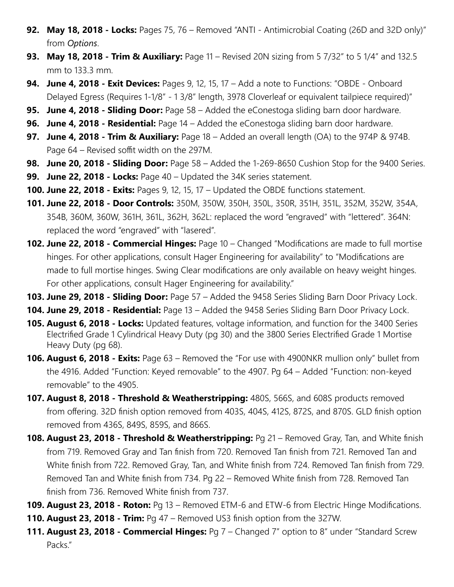- **92. May 18, 2018 Locks:** Pages 75, 76 Removed "ANTI Antimicrobial Coating (26D and 32D only)" from *Options*.
- **93. May 18, 2018 Trim & Auxiliary:** Page 11 Revised 20N sizing from 5 7/32" to 5 1/4" and 132.5 mm to 133.3 mm.
- **94. June 4, 2018 Exit Devices:** Pages 9, 12, 15, 17 Add a note to Functions: "OBDE Onboard Delayed Egress (Requires 1-1/8" - 1 3/8" length, 3978 Cloverleaf or equivalent tailpiece required)"
- **95. June 4, 2018 Sliding Door:** Page 58 Added the eConestoga sliding barn door hardware.
- **96. June 4, 2018 Residential:** Page 14 Added the eConestoga sliding barn door hardware.
- **97. June 4, 2018 Trim & Auxiliary:** Page 18 Added an overall length (OA) to the 974P & 974B. Page 64 – Revised soffit width on the 297M.
- **98. June 20, 2018 Sliding Door:** Page 58 Added the 1-269-8650 Cushion Stop for the 9400 Series.
- **99. June 22, 2018 Locks:** Page 40 Updated the 34K series statement.
- **100. June 22, 2018 Exits:** Pages 9, 12, 15, 17 Updated the OBDE functions statement.
- **101. June 22, 2018 Door Controls:** 350M, 350W, 350H, 350L, 350R, 351H, 351L, 352M, 352W, 354A, 354B, 360M, 360W, 361H, 361L, 362H, 362L: replaced the word "engraved" with "lettered". 364N: replaced the word "engraved" with "lasered".
- **102. June 22, 2018 Commercial Hinges:** Page 10 Changed "Modifications are made to full mortise hinges. For other applications, consult Hager Engineering for availability" to "Modifications are made to full mortise hinges. Swing Clear modifications are only available on heavy weight hinges. For other applications, consult Hager Engineering for availability."
- **103. June 29, 2018 Sliding Door:** Page 57 Added the 9458 Series Sliding Barn Door Privacy Lock.
- **104. June 29, 2018 Residential:** Page 13 Added the 9458 Series Sliding Barn Door Privacy Lock.
- **105. August 6, 2018 Locks:** Updated features, voltage information, and function for the 3400 Series Electrified Grade 1 Cylindrical Heavy Duty (pg 30) and the 3800 Series Electrified Grade 1 Mortise Heavy Duty (pg 68).
- **106. August 6, 2018 Exits:** Page 63 Removed the "For use with 4900NKR mullion only" bullet from the 4916. Added "Function: Keyed removable" to the 4907. Pg 64 – Added "Function: non-keyed removable" to the 4905.
- **107. August 8, 2018 Threshold & Weatherstripping:** 480S, 566S, and 608S products removed from offering. 32D finish option removed from 403S, 404S, 412S, 872S, and 870S. GLD finish option removed from 436S, 849S, 859S, and 866S.
- **108. August 23, 2018 Threshold & Weatherstripping:** Pg 21 Removed Gray, Tan, and White finish from 719. Removed Gray and Tan finish from 720. Removed Tan finish from 721. Removed Tan and White finish from 722. Removed Gray, Tan, and White finish from 724. Removed Tan finish from 729. Removed Tan and White finish from 734. Pg 22 – Removed White finish from 728. Removed Tan finish from 736. Removed White finish from 737.
- **109. August 23, 2018 Roton:** Pg 13 Removed ETM-6 and ETW-6 from Electric Hinge Modifications.
- **110. August 23, 2018 Trim:** Pg 47 Removed US3 finish option from the 327W.
- **111. August 23, 2018 Commercial Hinges:** Pg 7 Changed 7" option to 8" under "Standard Screw Packs."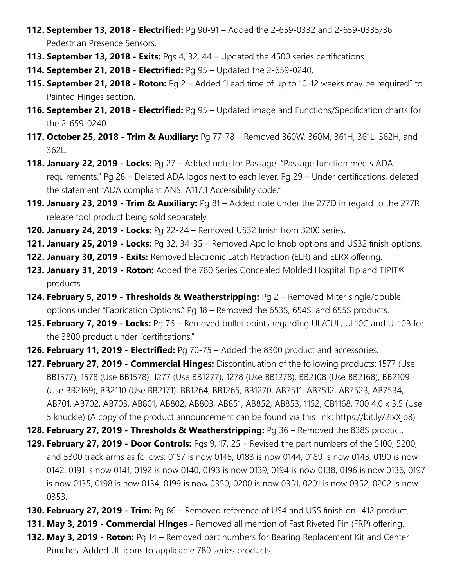- **112. September 13, 2018 Electrified:** Pg 90-91 Added the 2-659-0332 and 2-659-0335/36 Pedestrian Presence Sensors.
- **113. September 13, 2018 Exits:** Pgs 4, 32, 44 Updated the 4500 series certifications.
- **114. September 21, 2018 Electrified:** Pg 95 Updated the 2-659-0240.
- **115. September 21, 2018 Roton:** Pg 2 Added "Lead time of up to 10-12 weeks may be required" to Painted Hinges section.
- **116. September 21, 2018 Electrified:** Pg 95 Updated image and Functions/Specification charts for the 2-659-0240.
- **117. October 25, 2018 Trim & Auxiliary:** Pg 77-78 Removed 360W, 360M, 361H, 361L, 362H, and 362L.
- **118. January 22, 2019 Locks:** Pg 27 Added note for Passage: "Passage function meets ADA requirements." Pg 28 – Deleted ADA logos next to each lever. Pg 29 – Under certifications, deleted the statement "ADA compliant ANSI A117.1 Accessibility code."
- **119. January 23, 2019 Trim & Auxiliary:** Pg 81 Added note under the 277D in regard to the 277R release tool product being sold separately.
- **120. January 24, 2019 Locks:** Pg 22-24 Removed US32 finish from 3200 series.
- **121. January 25, 2019 Locks:** Pg 32, 34-35 Removed Apollo knob options and US32 finish options.
- **122. January 30, 2019 Exits:** Removed Electronic Latch Retraction (ELR) and ELRX offering.
- **123. January 31, 2019 Roton:** Added the 780 Series Concealed Molded Hospital Tip and TIPIT® products.
- **124. February 5, 2019 Thresholds & Weatherstripping:** Pg 2 Removed Miter single/double options under "Fabrication Options." Pg 18 – Removed the 653S, 654S, and 655S products.
- **125. February 7, 2019 Locks:** Pg 76 Removed bullet points regarding UL/CUL, UL10C and UL10B for the 3800 product under "certifications."
- **126. February 11, 2019 Electrified:** Pg 70-75 Added the 8300 product and accessories.
- **127. February 27, 2019 Commercial Hinges:** Discontinuation of the following products: 1577 (Use BB1577), 1578 (Use BB1578), 1277 (Use BB1277), 1278 (Use BB1278), BB2108 (Use BB2168), BB2109 (Use BB2169), BB2110 (Use BB2171), BB1264, BB1265, BB1270, AB7511, AB7512, AB7523, AB7534, AB701, AB702, AB703, AB801, AB802, AB803, AB851, AB852, AB853, 1152, CB1168, 700 4.0 x 3.5 (Use 5 knuckle) (A copy of the product announcement can be found via this link: https://bit.ly/2IxXjp8)
- **128. February 27, 2019 Thresholds & Weatherstripping:** Pg 36 Removed the 838S product.
- **129. February 27, 2019 Door Controls:** Pgs 9, 17, 25 Revised the part numbers of the 5100, 5200, and 5300 track arms as follows: 0187 is now 0145, 0188 is now 0144, 0189 is now 0143, 0190 is now 0142, 0191 is now 0141, 0192 is now 0140, 0193 is now 0139, 0194 is now 0138, 0196 is now 0136, 0197 is now 0135, 0198 is now 0134, 0199 is now 0350, 0200 is now 0351, 0201 is now 0352, 0202 is now 0353.
- **130. February 27, 2019 Trim:** Pg 86 Removed reference of US4 and US5 finish on 1412 product.
- **131. May 3, 2019 Commercial Hinges** Removed all mention of Fast Riveted Pin (FRP) offering.
- **132. May 3, 2019 Roton:** Pg 14 Removed part numbers for Bearing Replacement Kit and Center Punches. Added UL icons to applicable 780 series products.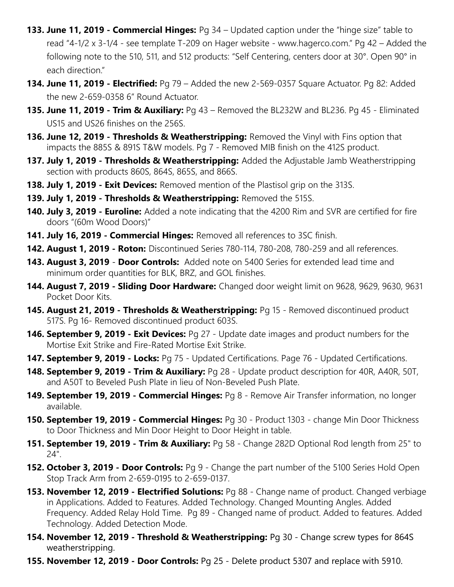- **133. June 11, 2019 Commercial Hinges:** Pg 34 Updated caption under the "hinge size" table to read "4-1/2 x 3-1/4 - see template T-209 on Hager website - www.hagerco.com." Pg 42 – Added the following note to the 510, 511, and 512 products: "Self Centering, centers door at 30°. Open 90° in each direction."
- **134. June 11, 2019 Electrified:** Pg 79 Added the new 2-569-0357 Square Actuator. Pg 82: Added the new 2-659-0358 6" Round Actuator.
- **135. June 11, 2019 Trim & Auxiliary:** Pg 43 Removed the BL232W and BL236. Pg 45 Eliminated US15 and US26 finishes on the 256S.
- **136. June 12, 2019 Thresholds & Weatherstripping:** Removed the Vinyl with Fins option that impacts the 885S & 891S T&W models. Pg 7 - Removed MIB finish on the 412S product.
- **137. July 1, 2019 Thresholds & Weatherstripping:** Added the Adjustable Jamb Weatherstripping section with products 860S, 864S, 865S, and 866S.
- **138. July 1, 2019 Exit Devices:** Removed mention of the Plastisol grip on the 313S.
- **139. July 1, 2019 Thresholds & Weatherstripping:** Removed the 515S.
- **140. July 3, 2019 Euroline:** Added a note indicating that the 4200 Rim and SVR are certified for fire doors "(60m Wood Doors)"
- **141. July 16, 2019 Commercial Hinges:** Removed all references to 3SC finish.
- **142. August 1, 2019 Roton:** Discontinued Series 780-114, 780-208, 780-259 and all references.
- **143. August 3, 2019 Door Controls:** Added note on 5400 Series for extended lead time and minimum order quantities for BLK, BRZ, and GOL finishes.
- **144. August 7, 2019 Sliding Door Hardware:** Changed door weight limit on 9628, 9629, 9630, 9631 Pocket Door Kits.
- **145. August 21, 2019 Thresholds & Weatherstripping:** Pg 15 Removed discontinued product 517S. Pg 16- Removed discontinued product 603S.
- **146. September 9, 2019 Exit Devices:** Pg 27 Update date images and product numbers for the Mortise Exit Strike and Fire-Rated Mortise Exit Strike.
- **147. September 9, 2019 Locks:** Pg 75 Updated Certifications. Page 76 Updated Certifications.
- **148. September 9, 2019 Trim & Auxiliary:** Pg 28 Update product description for 40R, A40R, 50T, and A50T to Beveled Push Plate in lieu of Non-Beveled Push Plate.
- **149. September 19, 2019 Commercial Hinges:** Pg 8 Remove Air Transfer information, no longer available.
- **150. September 19, 2019 Commercial Hinges:** Pg 30 Product 1303 change Min Door Thickness to Door Thickness and Min Door Height to Door Height in table.
- **151. September 19, 2019 Trim & Auxiliary:** Pg 58 Change 282D Optional Rod length from 25" to 24".
- **152. October 3, 2019 Door Controls:** Pg 9 Change the part number of the 5100 Series Hold Open Stop Track Arm from 2-659-0195 to 2-659-0137.
- **153. November 12, 2019 Electrified Solutions:** Pg 88 Change name of product. Changed verbiage in Applications. Added to Features. Added Technology. Changed Mounting Angles. Added Frequency. Added Relay Hold Time. Pg 89 - Changed name of product. Added to features. Added Technology. Added Detection Mode.
- **154. November 12, 2019 Threshold & Weatherstripping:** Pg 30 Change screw types for 864S weatherstripping.
- **155. November 12, 2019 Door Controls:** Pg 25 Delete product 5307 and replace with 5910.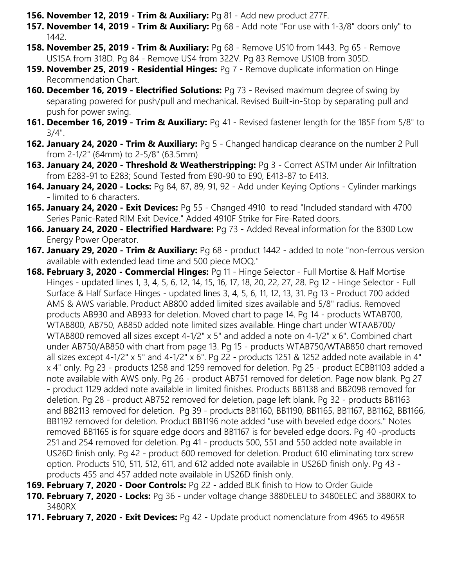- **156. November 12, 2019 Trim & Auxiliary:** Pg 81 Add new product 277F.
- **157. November 14, 2019 Trim & Auxiliary:** Pg 68 Add note "For use with 1-3/8" doors only" to 1442.
- **158. November 25, 2019 Trim & Auxiliary:** Pg 68 Remove US10 from 1443. Pg 65 Remove US15A from 318D. Pg 84 - Remove US4 from 322V. Pg 83 Remove US10B from 305D.
- **159. November 25, 2019 Residential Hinges:** Pg 7 Remove duplicate information on Hinge Recommendation Chart.
- **160. December 16, 2019 Electrified Solutions:** Pg 73 Revised maximum degree of swing by separating powered for push/pull and mechanical. Revised Built-in-Stop by separating pull and push for power swing.
- **161. December 16, 2019 Trim & Auxiliary:** Pg 41 Revised fastener length for the 185F from 5/8" to 3/4".
- **162. January 24, 2020 Trim & Auxiliary:** Pg 5 Changed handicap clearance on the number 2 Pull from 2-1/2" (64mm) to 2-5/8" (63.5mm)
- **163. January 24, 2020 Threshold & Weatherstripping:** Pg 3 Correct ASTM under Air Infiltration from E283-91 to E283; Sound Tested from E90-90 to E90, E413-87 to E413.
- **164. January 24, 2020 Locks:** Pg 84, 87, 89, 91, 92 Add under Keying Options Cylinder markings - limited to 6 characters.
- **165. January 24, 2020 Exit Devices:** Pg 55 Changed 4910 to read "Included standard with 4700 Series Panic-Rated RIM Exit Device." Added 4910F Strike for Fire-Rated doors.
- **166. January 24, 2020 Electrified Hardware:** Pg 73 Added Reveal information for the 8300 Low Energy Power Operator.
- **167. January 29, 2020 Trim & Auxiliary:** Pg 68 product 1442 added to note "non-ferrous version available with extended lead time and 500 piece MOQ."
- **168. February 3, 2020 Commercial Hinges:** Pg 11 Hinge Selector Full Mortise & Half Mortise Hinges - updated lines 1, 3, 4, 5, 6, 12, 14, 15, 16, 17, 18, 20, 22, 27, 28. Pg 12 - Hinge Selector - Full Surface & Half Surface Hinges - updated lines 3, 4, 5, 6, 11, 12, 13, 31. Pg 13 - Product 700 added AMS & AWS variable. Product AB800 added limited sizes available and 5/8" radius. Removed products AB930 and AB933 for deletion. Moved chart to page 14. Pg 14 - products WTAB700, WTAB800, AB750, AB850 added note limited sizes available. Hinge chart under WTAAB700/ WTAB800 removed all sizes except 4-1/2" x 5" and added a note on 4-1/2" x 6". Combined chart under AB750/AB850 with chart from page 13. Pg 15 - products WTAB750/WTAB850 chart removed all sizes except 4-1/2" x 5" and 4-1/2" x 6". Pg 22 - products 1251 & 1252 added note available in 4" x 4" only. Pg 23 - products 1258 and 1259 removed for deletion. Pg 25 - product ECBB1103 added a note available with AWS only. Pg 26 - product AB751 removed for deletion. Page now blank. Pg 27 - product 1129 added note available in limited finishes. Products BB1138 and BB2098 removed for deletion. Pg 28 - product AB752 removed for deletion, page left blank. Pg 32 - products BB1163 and BB2113 removed for deletion. Pg 39 - products BB1160, BB1190, BB1165, BB1167, BB1162, BB1166, BB1192 removed for deletion. Product BB1196 note added "use with beveled edge doors." Notes removed BB1165 is for square edge doors and BB1167 is for beveled edge doors. Pg 40 -products 251 and 254 removed for deletion. Pg 41 - products 500, 551 and 550 added note available in US26D finish only. Pg 42 - product 600 removed for deletion. Product 610 eliminating torx screw option. Products 510, 511, 512, 611, and 612 added note available in US26D finish only. Pg 43 products 455 and 457 added note available in US26D finish only.
- **169. February 7, 2020 Door Controls:** Pg 22 added BLK finish to How to Order Guide
- **170. February 7, 2020 Locks:** Pg 36 under voltage change 3880ELEU to 3480ELEC and 3880RX to 3480RX
- **171. February 7, 2020 Exit Devices:** Pg 42 Update product nomenclature from 4965 to 4965R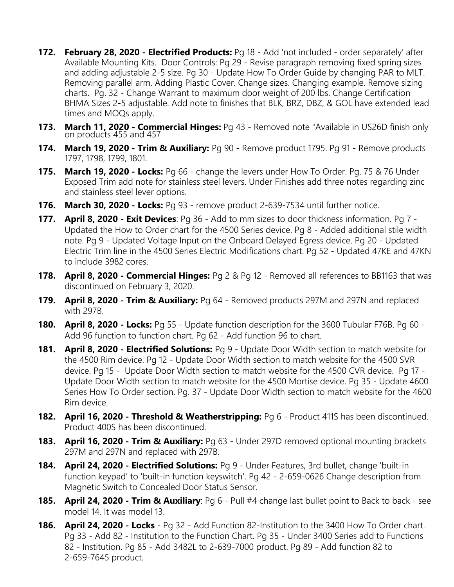- **172. February 28, 2020 Electrified Products:** Pg 18 Add 'not included order separately' after Available Mounting Kits. Door Controls: Pg 29 - Revise paragraph removing fixed spring sizes and adding adjustable 2-5 size. Pg 30 - Update How To Order Guide by changing PAR to MLT. Removing parallel arm. Adding Plastic Cover. Change sizes. Changing example. Remove sizing charts. Pg. 32 - Change Warrant to maximum door weight of 200 lbs. Change Certification BHMA Sizes 2-5 adjustable. Add note to finishes that BLK, BRZ, DBZ, & GOL have extended lead times and MOQs apply.
- **173. March 11, 2020 Commercial Hinges:** Pg 43 Removed note "Available in US26D finish only on products 455 and 457
- **174. March 19, 2020 Trim & Auxiliary:** Pg 90 Remove product 1795. Pg 91 Remove products 1797, 1798, 1799, 1801.
- **175. March 19, 2020 Locks:** Pg 66 change the levers under How To Order. Pg. 75 & 76 Under Exposed Trim add note for stainless steel levers. Under Finishes add three notes regarding zinc and stainless steel lever options.
- **176. March 30, 2020 Locks:** Pg 93 remove product 2-639-7534 until further notice.
- **177. April 8, 2020 Exit Devices**: Pg 36 Add to mm sizes to door thickness information. Pg 7 Updated the How to Order chart for the 4500 Series device. Pg 8 - Added additional stile width note. Pg 9 - Updated Voltage Input on the Onboard Delayed Egress device. Pg 20 - Updated Electric Trim line in the 4500 Series Electric Modifications chart. Pg 52 - Updated 47KE and 47KN to include 3982 cores.
- **178. April 8, 2020 Commercial Hinges:** Pg 2 & Pg 12 Removed all references to BB1163 that was discontinued on February 3, 2020.
- **179. April 8, 2020 Trim & Auxiliary:** Pg 64 Removed products 297M and 297N and replaced with 297B.
- **180. April 8, 2020 Locks:** Pg 55 Update function description for the 3600 Tubular F76B. Pg 60 Add 96 function to function chart. Pg 62 - Add function 96 to chart.
- **181. April 8, 2020 Electrified Solutions:** Pg 9 Update Door Width section to match website for the 4500 Rim device. Pg 12 - Update Door Width section to match website for the 4500 SVR device. Pg 15 - Update Door Width section to match website for the 4500 CVR device. Pg 17 - Update Door Width section to match website for the 4500 Mortise device. Pg 35 - Update 4600 Series How To Order section. Pg. 37 - Update Door Width section to match website for the 4600 Rim device.
- **182. April 16, 2020 Threshold & Weatherstripping:** Pg 6 Product 411S has been discontinued. Product 400S has been discontinued.
- **183. April 16, 2020 Trim & Auxiliary:** Pg 63 Under 297D removed optional mounting brackets 297M and 297N and replaced with 297B.
- **184. April 24, 2020 Electrified Solutions:** Pg 9 Under Features, 3rd bullet, change 'built-in function keypad' to 'built-in function keyswitch'. Pg 42 - 2-659-0626 Change description from Magnetic Switch to Concealed Door Status Sensor.
- **185. April 24, 2020 Trim & Auxiliary**: Pg 6 Pull #4 change last bullet point to Back to back see model 14. It was model 13.
- **186. April 24, 2020 Locks**  Pg 32 Add Function 82-Institution to the 3400 How To Order chart. Pg 33 - Add 82 - Institution to the Function Chart. Pg 35 - Under 3400 Series add to Functions 82 - Institution. Pg 85 - Add 3482L to 2-639-7000 product. Pg 89 - Add function 82 to 2-659-7645 product.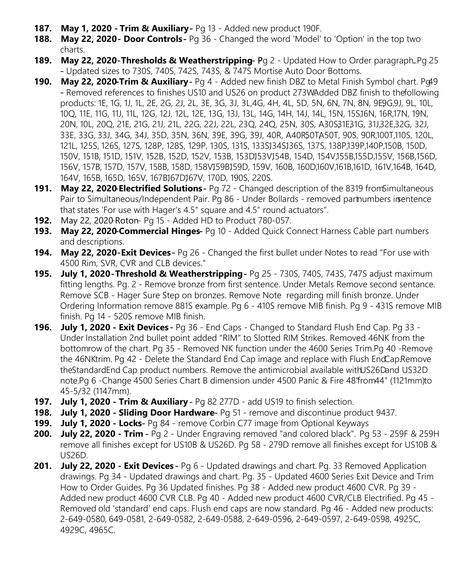- **187. May 1, 2020 Trim & Auxiliary**  Pg 13 Added new product 190F.
- **188. May 22, 2020 Door Controls Pg 36 Changed the word 'Model' to 'Option' in the top two** charts.
- **189. May 22, 2020-Thresholds & Weatherstripping-Pg 2 Updated How to Order paragraph. Pg 25** - Updated sizes to 730S, 740S, 742S, 743S, & 747S Mortise Auto Door Bottoms.
- **190. May 22, 2020- Trim & Auxiliary-** Pg 4 Added new finish DBZ to Metal Finish Symbol chart. Pg49 - Removed references to finishes US10 and US26 on product 273W. Added DBZ finish to the following products: 1E, 1G, 1J, 1L, 2E, 2G, 2J, 2L, 3E, 3G, 3J, 3L,4G, 4H, 4L, 5D, 5N, 6N, 7N, 8N, 9E9G,9J, 9L, 10L, 10Q, 11E, 11G, 11J, 11L, 12G, 12J, 12L, 12E, 13G, 13J, 13L, 14G, 14H, 14J, 14L, 15N, 15S,16N, 16R,17N, 19N, 20N, 10L, 20Q, 21E, 21G, 21J, 21L, 22G, 22J, 22L, 23Q, 24Q, 25N, 30S, A30S31E31G, 31J,32E,32G, 32J, 33E, 33G, 33J, 34G, 34J, 35D, 35N, 36N, 39E, 39G, 39J, 40R, A40R50TA50T, 90S, 90R,100T,110S, 120L, 121L, 125S, 126S, 127S, 128P, 128S, 129P, 130S, 131S, 133SJ34SJ36S, 137S, 138P,139P,140P,150B, 150D, 150V, 151B, 151D, 151V, 152B, 152D, 152V, 153B, 153DJ53VJ54B, 154D, 154V,155B,155D,155V, 156B,156D, 156V, 157B, 157D, 157V, 158B, 158D, 158VJ59BJ59D, 159V, 160B, 160D,160V,161B,161D, 161V,164B, 164D, 164V, 165B, 165D, 165V, 167B167D167V, 170D, 190S, 220S.
- **191. May 22, 2020- Electrified Solutions** Pg 72 Changed description of the 8319 from Simultaneous Pair to Simultaneous/Independent Pair. Pg 86 - Under Bollards - removed part numbers in sentence that states 'For use with Hager's 4.5" square and 4.5" round actuators".
- **192.** May 22, 2020- Roton- Pg 15 Added HD to Product 780-057.
- **193. May 22, 2020-Commercial Hinges-** Pg 10 Added Quick Connect Harness Cable part numbers and descriptions.
- **194. May 22, 2020-Exit Devices-** Pg 26 Changed the first bullet under Notes to read "For use with 4500 Rim, SVR, CVR and CLB devices."
- **195. July 1, 2020** -**Threshold & Weatherstripping**  Pg 25 730S, 740S, 743S, 747S adjust maximum fitting lengths. Pg. 2 - Remove bronze from first sentence. Under Metals Remove second sentance. Remove SCB - Hager Sure Step on bronzes. Remove Note regarding mill finish bronze. Under Ordering Information remove 881S example. Pg 6 - 410S remove MIB finish. Pg 9 - 431S remove MIB finish. Pg 14 - 520S remove MIB finish.
- **196. July 1, 2020 Exit Devices**  Pg 36 End Caps Changed to Standard Flush End Cap. Pg 33 Under Installation 2nd bullet point added "RIM" to Slotted RIM Strikes. Removed 46NK from the bottomrow of the chart. Pg 35 - Removed NK function under the 4600 Series Trim. Pg 40 - Remove the 46NK trim. Pg 42 - Delete the Standard End Cap image and replace with Flush End Cap. Remove the Standard End Cap product numbers. Remove the antimicrobial available with US26D and US32D note. Pg 6 - Change 4500 Series Chart B dimension under 4500 Panic & Fire 48 from 44" (1121 mm) to 45-5/32 (1147mm).
- **197. July 1, 2020 Trim & Auxiliary**  Pg 82 277D add US19 to finish selection.
- **198. July 1, 2020 Sliding Door Hardware** Pg 51 remove and discontinue product 9437.
- **199. July 1, 2020 Locks** Pg 84 remove Corbin C77 image from Optional Keyways
- **200. July 22, 2020 Trim**  Pg 2 Under Engraving removed "and colored black". Pg 53 259F & 259H remove all finishes except for US10B & US26D. Pg 58 - 279D remove all finishes except for US10B & US26D.
- **201. July 22, 2020 Exit Devices** Pg 6 Updated drawings and chart. Pg. 33 Removed Application drawings. Pg 34 - Updated drawings and chart. Pg. 35 - Updated 4600 Series Exit Device and Trim How to Order Guides. Pg 36 Updated finishes. Pg 38 - Added new product 4600 CVR. Pg 39 - Added new product 4600 CVR CLB. Pg 40 - Added new product 4600 CVR/CLB Electrified. Pg 45 - Removed old 'standard' end caps. Flush end caps are now standard. Pg 46 - Added new products: 2-649-0580, 649-0581, 2-649-0582, 2-649-0588, 2-649-0596, 2-649-0597, 2-649-0598, 4925C, 4929C, 4965C.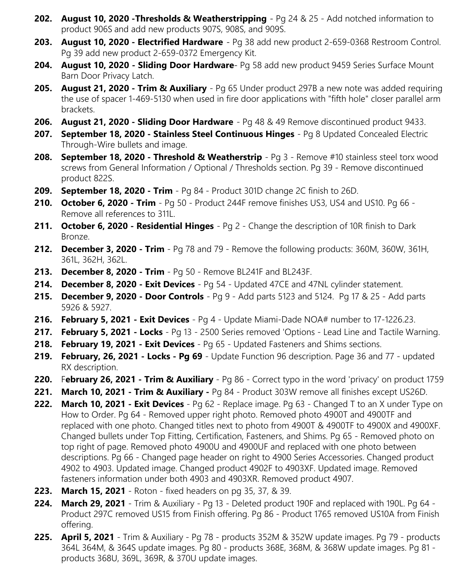- **202. August 10, 2020 -Thresholds & Weatherstripping**  Pg 24 & 25 Add notched information to product 906S and add new products 907S, 908S, and 909S.
- **203. August 10, 2020 Electrified Hardware** Pg 38 add new product 2-659-0368 Restroom Control. Pg 39 add new product 2-659-0372 Emergency Kit.
- **204. August 10, 2020 Sliding Door Hardware** Pg 58 add new product 9459 Series Surface Mount Barn Door Privacy Latch.
- **205. August 21, 2020 Trim & Auxiliary**  Pg 65 Under product 297B a new note was added requiring the use of spacer 1-469-5130 when used in fire door applications with "fifth hole" closer parallel arm brackets.
- **206. August 21, 2020 Sliding Door Hardware** Pg 48 & 49 Remove discontinued product 9433.
- **207. September 18, 2020 Stainless Steel Continuous Hinges**  Pg 8 Updated Concealed Electric Through-Wire bullets and image.
- **208. September 18, 2020 Threshold & Weatherstrip**  Pg 3 Remove #10 stainless steel torx wood screws from General Information / Optional / Thresholds section. Pg 39 - Remove discontinued product 822S.
- **209. September 18, 2020 Trim**  Pg 84 Product 301D change 2C finish to 26D.
- **210. October 6, 2020 Trim** Pg 50 Product 244F remove finishes US3, US4 and US10. Pg 66 Remove all references to 311L.
- **211. October 6, 2020 Residential Hinges**  Pg 2 Change the description of 10R finish to Dark Bronze.
- **212. December 3, 2020 Trim** Pg 78 and 79 Remove the following products: 360M, 360W, 361H, 361L, 362H, 362L.
- **213. December 8, 2020 Trim**  Pg 50 Remove BL241F and BL243F.
- **214. December 8, 2020 Exit Devices** Pg 54 Updated 47CE and 47NL cylinder statement.
- **215. December 9, 2020 Door Controls** Pg 9 Add parts 5123 and 5124. Pg 17 & 25 Add parts 5926 & 5927.
- **216. February 5, 2021 Exit Devices**  Pg 4 Update Miami-Dade NOA# number to 17-1226.23.
- **217. February 5, 2021 Locks**  Pg 13 2500 Series removed 'Options Lead Line and Tactile Warning.
- **218. February 19, 2021 Exit Devices** Pg 65 Updated Fasteners and Shims sections.
- **219. February, 26, 2021 Locks Pg 69**  Update Function 96 description. Page 36 and 77 updated RX description.
- **220.** F**ebruary 26, 2021 Trim & Auxiliary**  Pg 86 Correct typo in the word 'privacy' on product 1759
- **221. March 10, 2021 Trim & Auxiliary -** Pg 84 Product 303W remove all finishes except US26D.
- **222. March 10, 2021 Exit Devices** Pg 62 Replace image. Pg 63 Changed T to an X under Type on How to Order. Pg 64 - Removed upper right photo. Removed photo 4900T and 4900TF and replaced with one photo. Changed titles next to photo from 4900T & 4900TF to 4900X and 4900XF. Changed bullets under Top Fitting, Certification, Fasteners, and Shims. Pg 65 - Removed photo on top right of page. Removed photo 4900U and 4900UF and replaced with one photo between descriptions. Pg 66 - Changed page header on right to 4900 Series Accessories. Changed product 4902 to 4903. Updated image. Changed product 4902F to 4903XF. Updated image. Removed fasteners information under both 4903 and 4903XR. Removed product 4907.
- **223. March 15, 2021**  Roton fixed headers on pg 35, 37, & 39.
- **224. March 29, 2021**  Trim & Auxiliary Pg 13 Deleted product 190F and replaced with 190L. Pg 64 Product 297C removed US15 from Finish offering. Pg 86 - Product 1765 removed US10A from Finish offering.
- **225. April 5, 2021**  Trim & Auxiliary Pg 78 products 352M & 352W update images. Pg 79 products 364L 364M, & 364S update images. Pg 80 - products 368E, 368M, & 368W update images. Pg 81 products 368U, 369L, 369R, & 370U update images.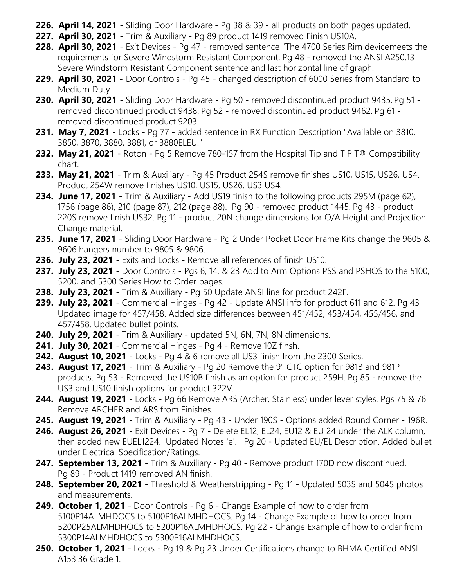- **226. April 14, 2021**  Sliding Door Hardware Pg 38 & 39 all products on both pages updated.
- **227. April 30, 2021** Trim & Auxiliary Pg 89 product 1419 removed Finish US10A.
- **228. April 30, 2021**  Exit Devices Pg 47 removed sentence "The 4700 Series Rim devicemeets the requirements for Severe Windstorm Resistant Component. Pg 48 - removed the ANSI A250.13 Severe Windstorm Resistant Component sentence and last horizontal line of graph.
- **229. April 30, 2021 -** Door Controls Pg 45 changed description of 6000 Series from Standard to Medium Duty.
- **230. April 30, 2021**  Sliding Door Hardware Pg 50 removed discontinued product 9435. Pg 51 removed discontinued product 9438. Pg 52 - removed discontinued product 9462. Pg 61 removed discontinued product 9203.
- **231. May 7, 2021**  Locks Pg 77 added sentence in RX Function Description "Available on 3810, 3850, 3870, 3880, 3881, or 3880ELEU."
- **232. May 21, 2021**  Roton Pg 5 Remove 780-157 from the Hospital Tip and TIPIT® Compatibility chart.
- **233. May 21, 2021**  Trim & Auxiliary Pg 45 Product 254S remove finishes US10, US15, US26, US4. Product 254W remove finishes US10, US15, US26, US3 US4.
- **234. June 17, 2021** Trim & Auxiliary Add US19 finish to the following products 295M (page 62), 1756 (page 86), 210 (page 87), 212 (page 88). Pg 90 - removed product 1445. Pg 43 - product 220S remove finish US32. Pg 11 - product 20N change dimensions for O/A Height and Projection. Change material.
- **235. June 17, 2021** Sliding Door Hardware Pg 2 Under Pocket Door Frame Kits change the 9605 & 9606 hangers number to 9805 & 9806.
- **236. July 23, 2021** Exits and Locks Remove all references of finish US10.
- **237. July 23, 2021**  Door Controls Pgs 6, 14, & 23 Add to Arm Options PSS and PSHOS to the 5100, 5200, and 5300 Series How to Order pages.
- **238. July 23, 2021**  Trim & Auxiliary Pg 50 Update ANSI line for product 242F.
- **239. July 23, 2021**  Commercial Hinges Pg 42 Update ANSI info for product 611 and 612. Pg 43 Updated image for 457/458. Added size differences between 451/452, 453/454, 455/456, and 457/458. Updated bullet points.
- **240. July 29, 2021** Trim & Auxiliary updated 5N, 6N, 7N, 8N dimensions.
- **241. July 30, 2021** Commercial Hinges Pg 4 Remove 10Z finsh.
- **242. August 10, 2021**  Locks Pg 4 & 6 remove all US3 finish from the 2300 Series.
- **243. August 17, 2021** Trim & Auxiliary Pg 20 Remove the 9" CTC option for 981B and 981P products. Pg 53 - Removed the US10B finish as an option for product 259H. Pg 85 - remove the US3 and US10 finish options for product 322V.
- **244. August 19, 2021**  Locks Pg 66 Remove ARS (Archer, Stainless) under lever styles. Pgs 75 & 76 Remove ARCHER and ARS from Finishes.
- **245. August 19, 2021**  Trim & Auxiliary Pg 43 Under 190S Options added Round Corner 196R.
- **246. August 26, 2021**  Exit Devices Pg 7 Delete EL12, EL24, EU12 & EU 24 under the ALK column, then added new EUEL1224. Updated Notes 'e'. Pg 20 - Updated EU/EL Description. Added bullet under Electrical Specification/Ratings.
- **247. September 13, 2021**  Trim & Auxiliary Pg 40 Remove product 170D now discontinued. Pg 89 - Product 1419 removed AN finish.
- **248. September 20, 2021** Threshold & Weatherstripping Pg 11 Updated 503S and 504S photos and measurements.
- **249. October 1, 2021**  Door Controls Pg 6 Change Example of how to order from 5100P14ALMHDOCS to 5100P16ALMHDHOCS. Pg 14 - Change Example of how to order from 5200P25ALMHDHOCS to 5200P16ALMHDHOCS. Pg 22 - Change Example of how to order from 5300P14ALMHDHOCS to 5300P16ALMHDHOCS.
- **250. October 1, 2021**  Locks Pg 19 & Pg 23 Under Certifications change to BHMA Certified ANSI A153.36 Grade 1.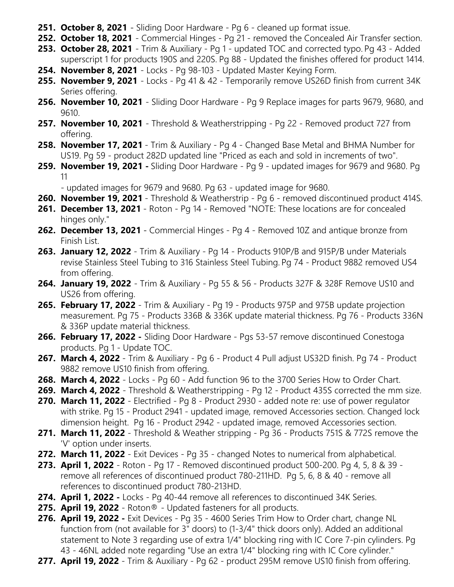- **251. October 8, 2021**  Sliding Door Hardware Pg 6 cleaned up format issue.
- **252. October 18, 2021**  Commercial Hinges Pg 21 removed the Concealed Air Transfer section.
- **253. October 28, 2021**  Trim & Auxiliary Pg 1 updated TOC and corrected typo. Pg 43 Added superscript 1 for products 190S and 220S. Pg 88 - Updated the finishes offered for product 1414.
- **254. November 8, 2021**  Locks Pg 98-103 Updated Master Keying Form.
- **255. November 9, 2021** Locks Pg 41 & 42 Temporarily remove US26D finish from current 34K Series offering.
- **256. November 10, 2021**  Sliding Door Hardware Pg 9 Replace images for parts 9679, 9680, and 9610.
- **257. November 10, 2021**  Threshold & Weatherstripping Pg 22 Removed product 727 from offering.
- **258. November 17, 2021**  Trim & Auxiliary Pg 4 Changed Base Metal and BHMA Number for US19. Pg 59 - product 282D updated line "Priced as each and sold in increments of two".
- **259. November 19, 2021 -** Sliding Door Hardware Pg 9 updated images for 9679 and 9680. Pg 11

- updated images for 9679 and 9680. Pg 63 - updated image for 9680.

- **260. November 19, 2021** Threshold & Weatherstrip Pg 6 removed discontinued product 414S.
- **261. December 13, 2021**  Roton Pg 14 Removed "NOTE: These locations are for concealed hinges only."
- **262. December 13, 2021**  Commercial Hinges Pg 4 Removed 10Z and antique bronze from Finish List.
- **263. January 12, 2022** Trim & Auxiliary Pg 14 Products 910P/B and 915P/B under Materials revise Stainless Steel Tubing to 316 Stainless Steel Tubing. Pg 74 - Product 9882 removed US4 from offering.
- **264. January 19, 2022**  Trim & Auxiliary Pg 55 & 56 Products 327F & 328F Remove US10 and US26 from offering.
- **265. February 17, 2022** Trim & Auxiliary Pg 19 Products 975P and 975B update projection measurement. Pg 75 - Products 336B & 336K update material thickness. Pg 76 - Products 336N & 336P update material thickness.
- **266. February 17, 2022 -** Sliding Door Hardware Pgs 53-57 remove discontinued Conestoga products. Pg 1 - Update TOC.
- **267. March 4, 2022**  Trim & Auxiliary Pg 6 Product 4 Pull adjust US32D finish. Pg 74 Product 9882 remove US10 finish from offering.
- **268. March 4, 2022** Locks Pg 60 Add function 96 to the 3700 Series How to Order Chart.
- **269. March 4, 2022**  Threshold & Weatherstripping Pg 12 Product 435S corrected the mm size.
- **270. March 11, 2022**  Electrified Pg 8 Product 2930 added note re: use of power regulator with strike. Pg 15 - Product 2941 - updated image, removed Accessories section. Changed lock dimension height. Pg 16 - Product 2942 - updated image, removed Accessories section.
- **271. March 11, 2022**  Threshold & Weather stripping Pg 36 Products 751S & 772S remove the 'V' option under inserts.
- **272. March 11, 2022**  Exit Devices Pg 35 changed Notes to numerical from alphabetical.
- **273. April 1, 2022**  Roton Pg 17 Removed discontinued product 500-200. Pg 4, 5, 8 & 39 remove all references of discontinued product 780-211HD. Pg 5, 6, 8 & 40 - remove all references to discontinued product 780-213HD.
- **274. April 1, 2022 -** Locks Pg 40-44 remove all references to discontinued 34K Series.
- **275. April 19, 2022**  Roton® Updated fasteners for all products.
- **276. April 19, 2022 -** Exit Devices Pg 35 4600 Series Trim How to Order chart, change NL function from (not available for 3" doors) to (1-3/4" thick doors only). Added an additional statement to Note 3 regarding use of extra 1/4" blocking ring with IC Core 7-pin cylinders. Pg 43 - 46NL added note regarding "Use an extra 1/4" blocking ring with IC Core cylinder."
- **277. April 19, 2022**  Trim & Auxiliary Pg 62 product 295M remove US10 finish from offering.